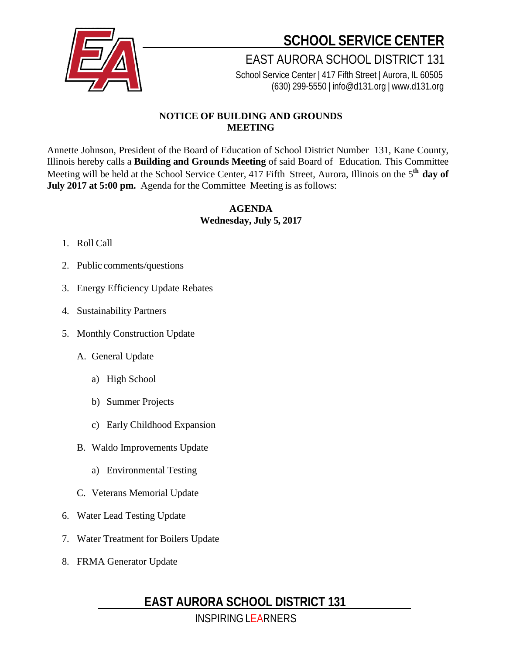

**SCHOOL SERVICE CENTER**

EAST AURORA SCHOOL DISTRICT 131

School Service Center | 417 Fifth Street | Aurora, IL 60505 (630) 299-5550 | [info@d131.org](mailto:info@d131.org) | [www.d131.org](http://www.d131.org/)

### **NOTICE OF BUILDING AND GROUNDS MEETING**

Annette Johnson, President of the Board of Education of School District Number 131, Kane County, Illinois hereby calls a **Building and Grounds Meeting** of said Board of Education. This Committee Meeting will be held at the School Service Center, 417 Fifth Street, Aurora, Illinois on the 5**th day of July 2017 at 5:00 pm.** Agenda for the Committee Meeting is as follows:

#### **AGENDA Wednesday, July 5, 2017**

#### 1. Roll Call

- 2. Public comments/questions
- 3. Energy Efficiency Update Rebates
- 4. Sustainability Partners
- 5. Monthly Construction Update
	- A. General Update
		- a) High School
		- b) Summer Projects
		- c) Early Childhood Expansion
	- B. Waldo Improvements Update
		- a) Environmental Testing
	- C. Veterans Memorial Update
- 6. Water Lead Testing Update
- 7. Water Treatment for Boilers Update
- 8. FRMA Generator Update